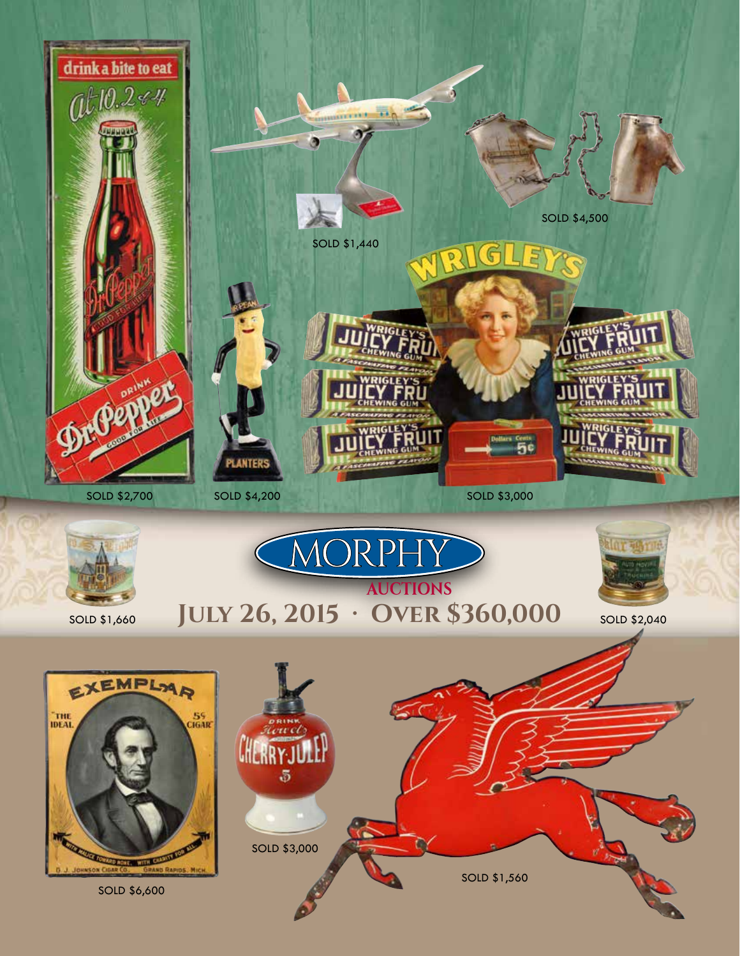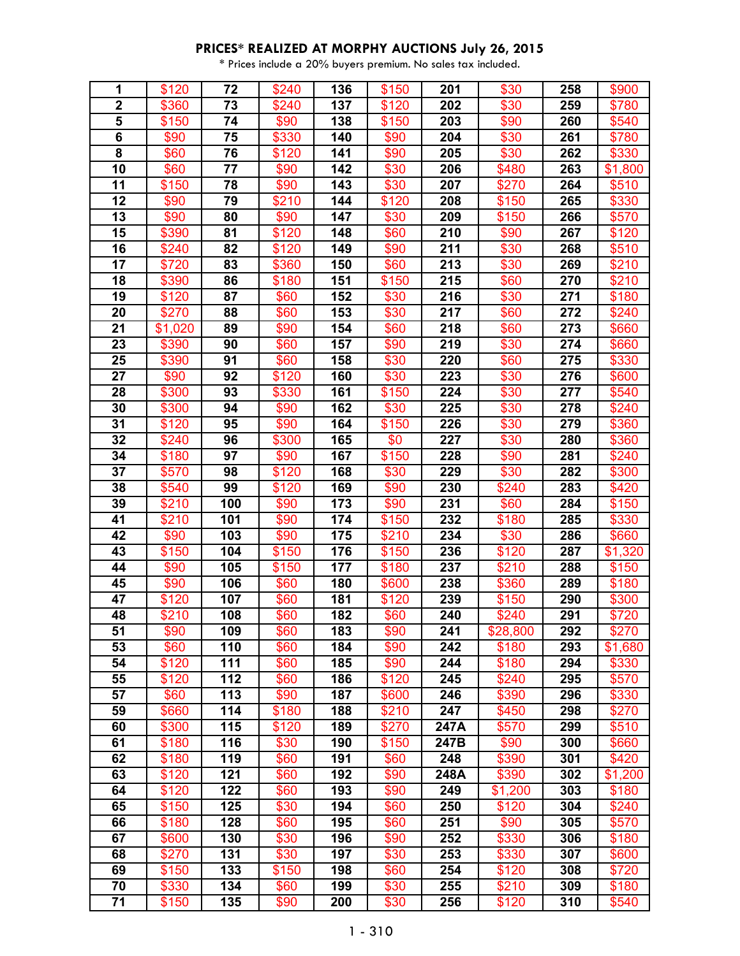| 1           | \$120          | 72         | \$240        | 136        | \$150        | 201        | \$30           | 258        | \$900          |
|-------------|----------------|------------|--------------|------------|--------------|------------|----------------|------------|----------------|
| $\mathbf 2$ | \$360          | 73         | \$240        | 137        | \$120        | 202        | \$30           | 259        | \$780          |
| 5           | \$150          | 74         | \$90         | 138        | \$150        | 203        | \$90           | 260        | \$540          |
| 6           | \$90           | 75         | \$330        | 140        | \$90         | 204        | \$30           | 261        | \$780          |
| 8           | \$60           | 76         | \$120        | 141        | \$90         | 205        | \$30           | 262        | \$330          |
| 10          | \$60           | 77         | \$90         | 142        | \$30         | 206        | \$480          | 263        | \$1,800        |
| 11          | \$150          | 78         | \$90         | 143        | \$30         | 207        | \$270          | 264        | \$510          |
| 12          | \$90           | 79         | \$210        | 144        | \$120        | 208        | \$150          | 265        | \$330          |
| 13          | \$90           | 80         | \$90         | 147        | \$30         | 209        | \$150          | 266        | \$570          |
| 15          | \$390          | 81         | \$120        | 148        | \$60         | 210        | \$90           | 267        | \$120          |
| 16          | \$240          | 82         | \$120        | 149        | \$90         | 211        | \$30           | 268        | \$510          |
| 17          | \$720          | 83         | \$360        | 150        | \$60         | 213        | \$30           | 269        | \$210          |
| 18          | \$390          | 86         | \$180        | 151        | \$150        | 215        | \$60           | 270        | \$210          |
| 19          | \$120          | 87         | \$60         | 152        | \$30         | 216        | \$30           | 271        | \$180          |
| 20          | \$270          | 88         | \$60         | 153        | \$30         | 217        | \$60           | 272        | \$240          |
| 21          | \$1,020        | 89         | \$90         | 154        | \$60         | 218        | \$60           | 273        | \$660          |
| 23          | \$390          | 90         | \$60         | 157        | \$90         | 219        | \$30           | 274        | \$660          |
| 25          | \$390          | 91         | \$60         | 158        | \$30         | 220        | \$60           | 275        | \$330          |
| 27          | \$90           | 92         | \$120        | 160        | \$30         | 223        | \$30           | 276        | \$600          |
| 28          | \$300          | 93         | \$330        | 161        | \$150        | 224        | \$30           | 277        | \$540          |
| 30          | \$300          | 94         | \$90         | 162        | \$30         | 225        | \$30           | 278        | \$240          |
| 31          | \$120          | 95         | \$90         | 164        | \$150        | 226        | \$30           | 279        | \$360          |
| 32          | \$240          | 96         | \$300        | 165        | \$0          | 227        | \$30           | 280        | \$360          |
| 34          | \$180          | 97         | \$90         | 167        | \$150        | 228        | \$90           | 281        | \$240          |
| 37          | \$570          | 98         | \$120        | 168        | \$30         | 229        | \$30           | 282        | \$300          |
| 38          | \$540          | 99         | \$120        | 169        | \$90         | 230        | \$240          | 283        | \$420          |
| 39          | \$210          | 100        | \$90         | 173        | \$90         | 231        | \$60           | 284        | \$150          |
| 41          | \$210          | 101        | \$90         | 174        | \$150        | 232        | \$180          | 285        | \$330          |
| 42          | \$90           | 103        | \$90         | 175        | \$210        | 234        | \$30           | 286        | \$660          |
| 43          | \$150          | 104        | \$150        | 176        | \$150        | 236        | \$120          | 287        | \$1,320        |
| 44          | \$90           | 105        | \$150        | 177        | \$180        | 237        | \$210          | 288        | \$150          |
| 45          | \$90           | 106        | \$60         | 180        | \$600        | 238        | \$360          | 289        | \$180          |
| 47          | \$120          | 107        | \$60         | 181        | \$120        | 239        | \$150          | 290        | \$300          |
| 48          | \$210          | 108        | \$60         | 182        | \$60         | 240        | \$240          | 291        | \$720          |
| 51          | \$90           | 109        | \$60         | 183        | \$90         | 241        | \$28,800       | 292        | \$270          |
| 53          | \$60           | 110        | \$60         | 184        | \$90         | 242        | \$180          | 293        | \$1,680        |
| 54          | \$120          | 111        | \$60         | 185        | \$90         | 244        | \$180          | 294        | \$330          |
| 55          | \$120          | 112        | \$60         | 186        | \$120        | 245        | \$240          | 295        | \$570          |
| 57          | \$60           | 113        | \$90         | 187        | \$600        | 246        | \$390          | 296        | \$330          |
| 59          | \$660          | 114        | \$180        | 188        | \$210        | 247        | \$450          | 298        | \$270          |
| 60          | \$300          | 115        | \$120        | 189        | \$270        | 247A       | \$570          | 299        | \$510          |
| 61          | \$180          | 116        | \$30         | 190        | \$150        | 247B       | \$90           | 300        | \$660          |
| 62          | \$180          | 119        | \$60         | 191        | \$60         | 248        | \$390          | 301        | \$420          |
| 63          | \$120          | 121        | \$60         | 192        | \$90         | 248A       | \$390          | 302        | \$1,200        |
| 64<br>65    | \$120          | 122<br>125 | \$60         | 193<br>194 | \$90         | 249        | \$1,200        | 303<br>304 | \$180          |
| 66          | \$150          | 128        | \$30         | 195        | \$60         | 250        | \$120          | 305        | \$240          |
| 67          | \$180          |            | \$60         | 196        | \$60         | 251        | \$90           |            | \$570          |
| 68          | \$600<br>\$270 | 130<br>131 | \$30<br>\$30 | 197        | \$90<br>\$30 | 252<br>253 | \$330<br>\$330 | 306<br>307 | \$180          |
| 69          | \$150          | 133        | \$150        | 198        | \$60         | 254        | \$120          | 308        | \$600<br>\$720 |
| 70          | \$330          | 134        | \$60         | 199        | \$30         | 255        | \$210          | 309        | \$180          |
| 71          | \$150          | 135        | \$90         | 200        | \$30         | 256        | \$120          | 310        | \$540          |
|             |                |            |              |            |              |            |                |            |                |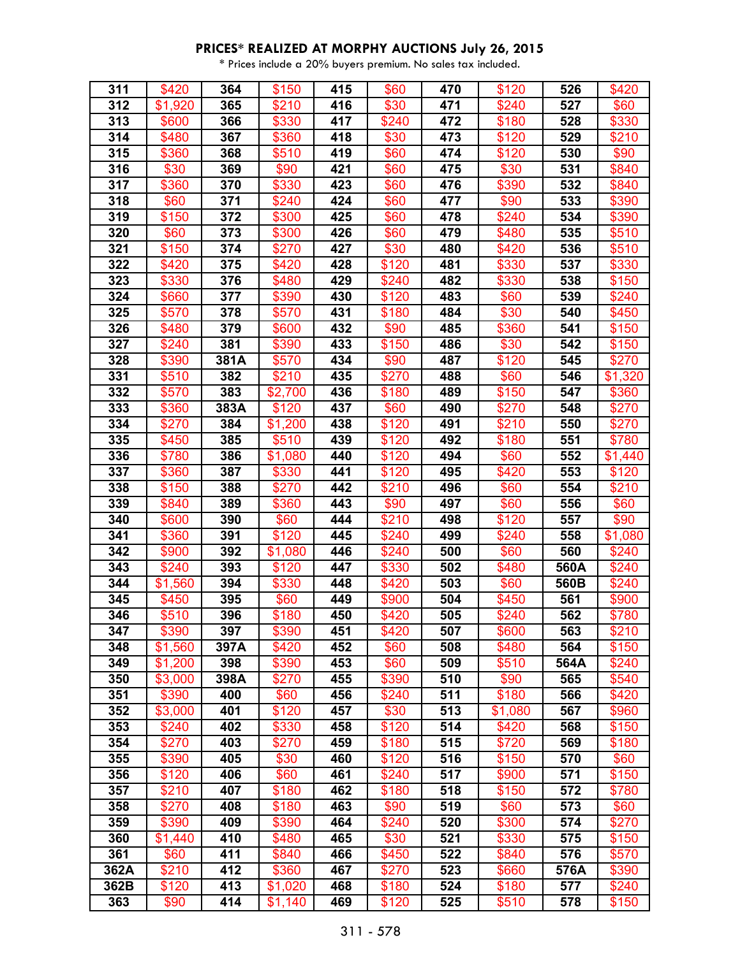| 311  | \$420   | 364  | \$150   | 415 | \$60  | 470 | \$120   | 526  | \$420   |
|------|---------|------|---------|-----|-------|-----|---------|------|---------|
| 312  | \$1,920 | 365  | \$210   | 416 | \$30  | 471 | \$240   | 527  | \$60    |
| 313  | \$600   | 366  | \$330   | 417 | \$240 | 472 | \$180   | 528  | \$330   |
| 314  | \$480   | 367  | \$360   | 418 | \$30  | 473 | \$120   | 529  | \$210   |
| 315  | \$360   | 368  | \$510   | 419 | \$60  | 474 | \$120   | 530  | \$90    |
| 316  | \$30    | 369  | \$90    | 421 | \$60  | 475 | \$30    | 531  | \$840   |
| 317  | \$360   | 370  | \$330   | 423 | \$60  | 476 | \$390   | 532  | \$840   |
| 318  | \$60    | 371  | \$240   | 424 | \$60  | 477 | \$90    | 533  | \$390   |
| 319  | \$150   | 372  | \$300   | 425 | \$60  | 478 | \$240   | 534  | \$390   |
| 320  | \$60    | 373  | \$300   | 426 | \$60  | 479 | \$480   | 535  | \$510   |
| 321  | \$150   | 374  | \$270   | 427 | \$30  | 480 | \$420   | 536  | \$510   |
| 322  | \$420   | 375  | \$420   | 428 | \$120 | 481 | \$330   | 537  | \$330   |
| 323  | \$330   | 376  | \$480   | 429 | \$240 | 482 | \$330   | 538  | \$150   |
| 324  | \$660   | 377  | \$390   | 430 | \$120 | 483 | \$60    | 539  | \$240   |
| 325  | \$570   | 378  | \$570   | 431 | \$180 | 484 | \$30    | 540  | \$450   |
| 326  | \$480   | 379  | \$600   | 432 | \$90  | 485 | \$360   | 541  | \$150   |
| 327  | \$240   | 381  | \$390   | 433 | \$150 | 486 | \$30    | 542  | \$150   |
| 328  | \$390   | 381A | \$570   | 434 | \$90  | 487 | \$120   | 545  | \$270   |
| 331  | \$510   | 382  | \$210   | 435 | \$270 | 488 | \$60    | 546  | \$1,320 |
| 332  | \$570   | 383  | \$2,700 | 436 | \$180 | 489 | \$150   | 547  | \$360   |
| 333  | \$360   | 383A | \$120   | 437 | \$60  | 490 | \$270   | 548  | \$270   |
| 334  | \$270   | 384  | \$1,200 | 438 | \$120 | 491 | \$210   | 550  | \$270   |
| 335  | \$450   | 385  | \$510   | 439 | \$120 | 492 | \$180   | 551  | \$780   |
| 336  | \$780   | 386  | \$1,080 | 440 | \$120 | 494 | \$60    | 552  | \$1,440 |
| 337  | \$360   | 387  | \$330   | 441 | \$120 | 495 | \$420   | 553  | \$120   |
| 338  | \$150   | 388  | \$270   | 442 | \$210 | 496 | \$60    | 554  | \$210   |
| 339  | \$840   | 389  | \$360   | 443 | \$90  | 497 | \$60    | 556  | \$60    |
| 340  | \$600   | 390  | \$60    | 444 | \$210 | 498 | \$120   | 557  | \$90    |
| 341  | \$360   | 391  | \$120   | 445 | \$240 | 499 | \$240   | 558  | \$1,080 |
| 342  | \$900   | 392  | \$1,080 | 446 | \$240 | 500 | \$60    | 560  | \$240   |
| 343  | \$240   | 393  | \$120   | 447 | \$330 | 502 | \$480   | 560A | \$240   |
| 344  | \$1,560 | 394  | \$330   | 448 | \$420 | 503 | \$60    | 560B | \$240   |
| 345  | \$450   | 395  | \$60    | 449 | \$900 | 504 | \$450   | 561  | \$900   |
| 346  | \$510   | 396  | \$180   | 450 | \$420 | 505 | \$240   | 562  | \$780   |
| 347  | \$390   | 397  | \$390   | 451 | \$420 | 507 | \$600   | 563  | \$210   |
| 348  | \$1,560 | 397A | \$420   | 452 | \$60  | 508 | \$480   | 564  | \$150   |
| 349  | \$1,200 | 398  | \$390   | 453 | \$60  | 509 | \$510   | 564A | \$240   |
| 350  | \$3,000 | 398A | \$270   | 455 | \$390 | 510 | \$90    | 565  | \$540   |
| 351  | \$390   | 400  | \$60    | 456 | \$240 | 511 | \$180   | 566  | \$420   |
| 352  | \$3,000 | 401  | \$120   | 457 | \$30  | 513 | \$1,080 | 567  | \$960   |
| 353  | \$240   | 402  | \$330   | 458 | \$120 | 514 | \$420   | 568  | \$150   |
| 354  | \$270   | 403  | \$270   | 459 | \$180 | 515 | \$720   | 569  | \$180   |
| 355  | \$390   | 405  | \$30    | 460 | \$120 | 516 | \$150   | 570  | \$60    |
| 356  | \$120   | 406  | \$60    | 461 | \$240 | 517 | \$900   | 571  | \$150   |
| 357  | \$210   | 407  | \$180   | 462 | \$180 | 518 | \$150   | 572  | \$780   |
| 358  | \$270   | 408  | \$180   | 463 | \$90  | 519 | \$60    | 573  | \$60    |
| 359  | \$390   | 409  | \$390   | 464 | \$240 | 520 | \$300   | 574  | \$270   |
| 360  | \$1,440 | 410  | \$480   | 465 | \$30  | 521 | \$330   | 575  | \$150   |
| 361  | \$60    | 411  | \$840   | 466 | \$450 | 522 | \$840   | 576  | \$570   |
| 362A | \$210   | 412  | \$360   | 467 | \$270 | 523 | \$660   | 576A | \$390   |
| 362B | \$120   | 413  | \$1,020 | 468 | \$180 | 524 | \$180   | 577  | \$240   |
| 363  | \$90    | 414  | \$1,140 | 469 | \$120 | 525 | \$510   | 578  | \$150   |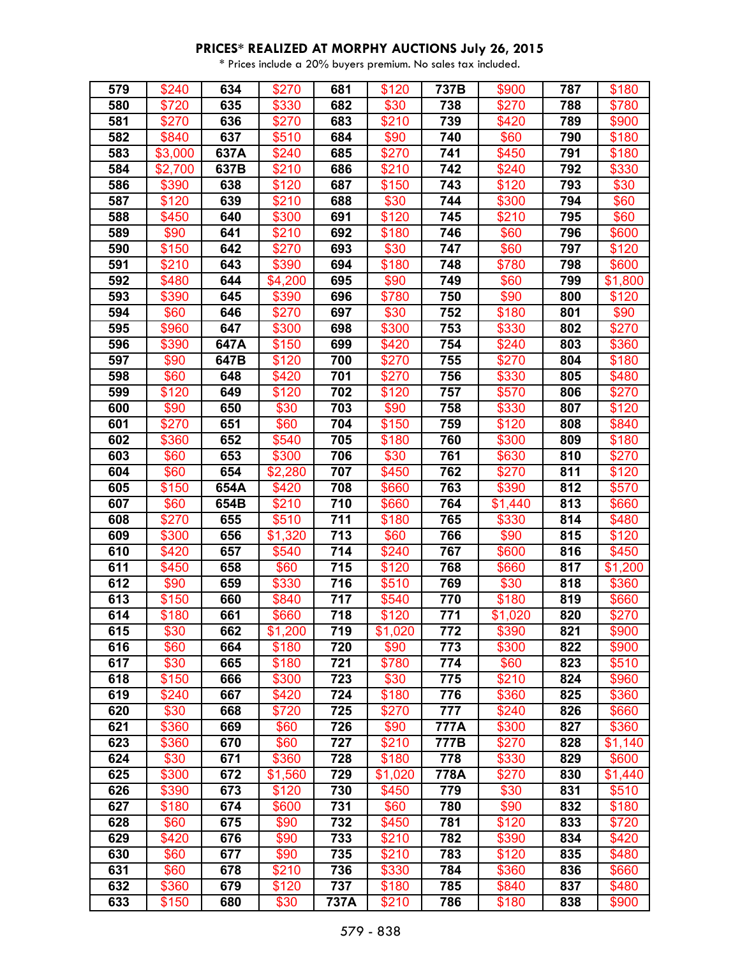| 579 | \$240   | 634  | \$270          | 681  | \$120   | 737B | \$900         | 787 | \$180            |
|-----|---------|------|----------------|------|---------|------|---------------|-----|------------------|
| 580 | \$720   | 635  | \$330          | 682  | \$30    | 738  | \$270         | 788 | \$780            |
| 581 | \$270   | 636  | \$270          | 683  | \$210   | 739  | \$420         | 789 | \$900            |
| 582 | \$840   | 637  | \$510          | 684  | \$90    | 740  | \$60          | 790 | \$180            |
| 583 | \$3,000 | 637A | \$240          | 685  | \$270   | 741  | \$450         | 791 | \$180            |
| 584 | \$2,700 | 637B | \$210          | 686  | \$210   | 742  | \$240         | 792 | \$330            |
| 586 | \$390   | 638  | \$120          | 687  | \$150   | 743  | \$120         | 793 | \$30             |
| 587 | \$120   | 639  | \$210          | 688  | \$30    | 744  | \$300         | 794 | \$60             |
| 588 | \$450   | 640  | \$300          | 691  | \$120   | 745  | \$210         | 795 | \$60             |
| 589 | \$90    | 641  | \$210          | 692  | \$180   | 746  | \$60          | 796 | \$600            |
| 590 | \$150   | 642  | \$270          | 693  | \$30    | 747  | \$60          | 797 | \$120            |
| 591 | \$210   | 643  | \$390          | 694  | \$180   | 748  | \$780         | 798 | \$600            |
| 592 | \$480   | 644  | \$4,200        | 695  | \$90    | 749  | \$60          | 799 | \$1,800          |
| 593 | \$390   | 645  | \$390          | 696  | \$780   | 750  | \$90          | 800 | \$120            |
| 594 | \$60    | 646  | \$270          | 697  | \$30    | 752  | \$180         | 801 | \$90             |
| 595 | \$960   | 647  | \$300          | 698  | \$300   | 753  | \$330         | 802 | \$270            |
| 596 | \$390   | 647A | \$150          | 699  | \$420   | 754  | \$240         | 803 | \$360            |
| 597 | \$90    | 647B | \$120          | 700  | \$270   | 755  | \$270         | 804 | \$180            |
| 598 | \$60    | 648  | \$420          | 701  | \$270   | 756  | \$330         | 805 | \$480            |
| 599 | \$120   | 649  | \$120          | 702  | \$120   | 757  | \$570         | 806 | \$270            |
| 600 | \$90    | 650  | \$30           | 703  | \$90    | 758  | \$330         | 807 | \$120            |
| 601 | \$270   | 651  | \$60           | 704  | \$150   | 759  | \$120         | 808 | \$840            |
| 602 | \$360   | 652  | \$540          | 705  | \$180   | 760  | \$300         | 809 | \$180            |
| 603 | \$60    | 653  | \$300          | 706  | \$30    | 761  | \$630         | 810 | \$270            |
| 604 | \$60    | 654  | \$2,280        | 707  | \$450   | 762  | \$270         | 811 | \$120            |
| 605 | \$150   | 654A | \$420          | 708  | \$660   | 763  | \$390         | 812 | \$570            |
| 607 | \$60    | 654B | \$210          | 710  | \$660   | 764  | \$1,440       | 813 | \$660            |
| 608 | \$270   | 655  | \$510          | 711  | \$180   | 765  | \$330         | 814 | \$480            |
| 609 | \$300   | 656  | \$1,320        | 713  | \$60    | 766  | \$90          | 815 | \$120            |
| 610 | \$420   | 657  | \$540          | 714  | \$240   | 767  | \$600         | 816 | \$450            |
| 611 | \$450   | 658  |                | 715  | \$120   | 768  |               | 817 |                  |
| 612 | \$90    | 659  | \$60<br>\$330  | 716  | \$510   | 769  | \$660<br>\$30 | 818 | \$1,200<br>\$360 |
| 613 | \$150   | 660  |                | 717  | \$540   | 770  | \$180         | 819 |                  |
| 614 | \$180   | 661  | \$840<br>\$660 | 718  | \$120   | 771  | \$1,020       | 820 | \$660<br>\$270   |
| 615 | \$30    | 662  | \$1,200        | 719  | \$1,020 | 772  | \$390         | 821 | \$900            |
| 616 | \$60    | 664  | \$180          | 720  | \$90    | 773  | \$300         | 822 | \$900            |
| 617 | \$30    | 665  | \$180          | 721  | \$780   | 774  | \$60          | 823 | \$510            |
| 618 | \$150   | 666  | \$300          | 723  | \$30    | 775  | \$210         | 824 | \$960            |
| 619 | \$240   | 667  | \$420          | 724  | \$180   | 776  | \$360         | 825 | \$360            |
| 620 | \$30    | 668  | \$720          | 725  | \$270   | 777  | \$240         | 826 | \$660            |
| 621 | \$360   | 669  | \$60           | 726  | \$90    | 777A | \$300         | 827 | \$360            |
| 623 | \$360   | 670  | \$60           | 727  | \$210   | 777B | \$270         | 828 | \$1,140          |
|     | \$30    |      |                |      |         |      |               |     |                  |
| 624 |         | 671  | \$360          | 728  | \$180   | 778  | \$330         | 829 | \$600            |
| 625 | \$300   | 672  | \$1,560        | 729  | \$1,020 | 778A | \$270         | 830 | \$1,440          |
| 626 | \$390   | 673  | \$120          | 730  | \$450   | 779  | \$30          | 831 | \$510            |
| 627 | \$180   | 674  | \$600          | 731  | \$60    | 780  | \$90          | 832 | \$180            |
| 628 | \$60    | 675  | \$90           | 732  | \$450   | 781  | \$120         | 833 | \$720            |
| 629 | \$420   | 676  | \$90           | 733  | \$210   | 782  | \$390         | 834 | \$420            |
| 630 | \$60    | 677  | \$90           | 735  | \$210   | 783  | \$120         | 835 | \$480            |
| 631 | \$60    | 678  | \$210          | 736  | \$330   | 784  | \$360         | 836 | \$660            |
| 632 | \$360   | 679  | \$120          | 737  | \$180   | 785  | \$840         | 837 | \$480            |
| 633 | \$150   | 680  | \$30           | 737A | \$210   | 786  | \$180         | 838 | \$900            |